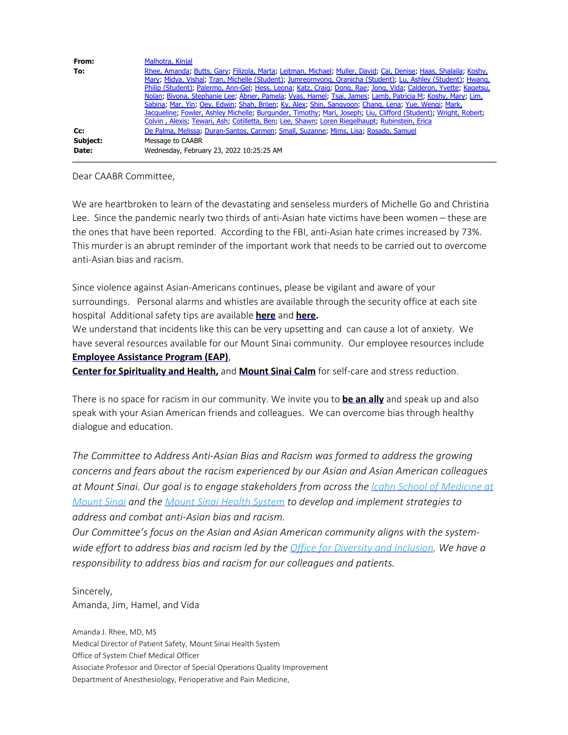| From:             | Malhotra, Kinjal                                                                                                                                                                                                                                                                                                                                                                                                                                                                                                                                                                                                                                                                              |
|-------------------|-----------------------------------------------------------------------------------------------------------------------------------------------------------------------------------------------------------------------------------------------------------------------------------------------------------------------------------------------------------------------------------------------------------------------------------------------------------------------------------------------------------------------------------------------------------------------------------------------------------------------------------------------------------------------------------------------|
| To:               | Rhee, Amanda; Butts, Gary; Filizola, Marta; Leitman, Michael; Muller, David; Cai, Denise; Haas, Shalaila; Koshy,<br>Mary, Midya, Vishal, Tran, Michelle (Student), Jumreornvong, Oranicha (Student), Lu, Ashley (Student), Hwang,<br>Philip (Student); Palermo, Ann-Gel; Hess, Leona; Katz, Craig; Dong, Rae; Jong, Vida; Calderon, Yvette; Kagetsu,<br>Nolan; Bivona, Stephanie Lee; Abner, Pamela; Vyas, Hamel; Tsai, James; Lamb, Patricia M; Koshy, Mary; Lim,<br>Sabina, Mar, Yin, Oey, Edwin, Shah, Brijen, Ky, Alex, Shin, Sangyoon, Chang, Lena, Yue, Wengi, Mark,<br>Jacqueline; Fowler, Ashley Michelle; Burgunder, Timothy; Mari, Joseph; Liu, Clifford (Student); Wright, Robert; |
| Cc:               | Colvin, Alexis; Tewari, Ash; Cotilletta, Ben; Lee, Shawn; Loren Riegelhaupt; Rubinstein, Erica<br>De Palma, Melissa, Duran-Santos, Carmen, Small, Suzanne, Mims, Lisa, Rosado, Samuel                                                                                                                                                                                                                                                                                                                                                                                                                                                                                                         |
| Subject:<br>Date: | Message to CAABR<br>Wednesday, February 23, 2022 10:25:25 AM                                                                                                                                                                                                                                                                                                                                                                                                                                                                                                                                                                                                                                  |

## Dear CAABR Committee,

We are heartbroken to learn of the devastating and senseless murders of Michelle Go and Christina Lee. Since the pandemic nearly two thirds of anti-Asian hate victims have been women – these are the ones that have been reported. According to the FBI, anti-Asian hate crimes increased by 73%. This murder is an abrupt reminder of the important work that needs to be carried out to overcome anti-Asian bias and racism.

Since violence against Asian-Americans continues, please be vigilant and aware of your surroundings. Personal alarms and whistles are available through the security office at each site hospital Additional safety tips are available **[here](https://stopaapihate.org/safety-tips/)** and **[here](https://www.cntraveler.com/story/practical-ways-to-protect-yourself-against-hate-incidents-while-traveling).**

We understand that incidents like this can be very upsetting and can cause a lot of anxiety. We have several resources available for our Mount Sinai community. Our employee resources include **[Employee Assistance Program \(EAP\)](https://www.mountsinai.org/about/wellness/employee-assistance-program)**,

**[Center for Spirituality and Health,](https://www.mountsinai.org/patient-care/spiritual-care-and-education)** and **[Mount Sinai Calm](https://www.mountsinai.org/about/wellness/ms-calm)** for self-care and stress reduction.

There is no space for racism in our community. We invite you to **[be an ally](https://www.safehorizon.org/stories/how-to-become-aapi-community-ally)** and speak up and also speak with your Asian American friends and colleagues. We can overcome bias through healthy dialogue and education.

*The Committee to Address Anti-Asian Bias and Racism was formed to address the growing concerns and fears about the racism experienced by our Asian and Asian American colleagues at Mount Sinai. Our goal is to engage stakeholders from across the [Icahn School of Medicine at](https://icahn.mssm.edu/) [Mount Sinai](https://icahn.mssm.edu/) and the [Mount Sinai Health System](https://www.mountsinai.org/) to develop and implement strategies to address and combat anti-Asian bias and racism.*

*Our Committee's focus on the Asian and Asian American community aligns with the systemwide effort to address bias and racism led by the [Office for Diversity and Inclusion.](https://www.mountsinai.org/about/odi) We have a responsibility to address bias and racism for our colleagues and patients.*

Sincerely, Amanda, Jim, Hamel, and Vida

Amanda J. Rhee, MD, MS Medical Director of Patient Safety, Mount Sinai Health System Office of System Chief Medical Officer Associate Professor and Director of Special Operations Quality Improvement Department of Anesthesiology, Perioperative and Pain Medicine,